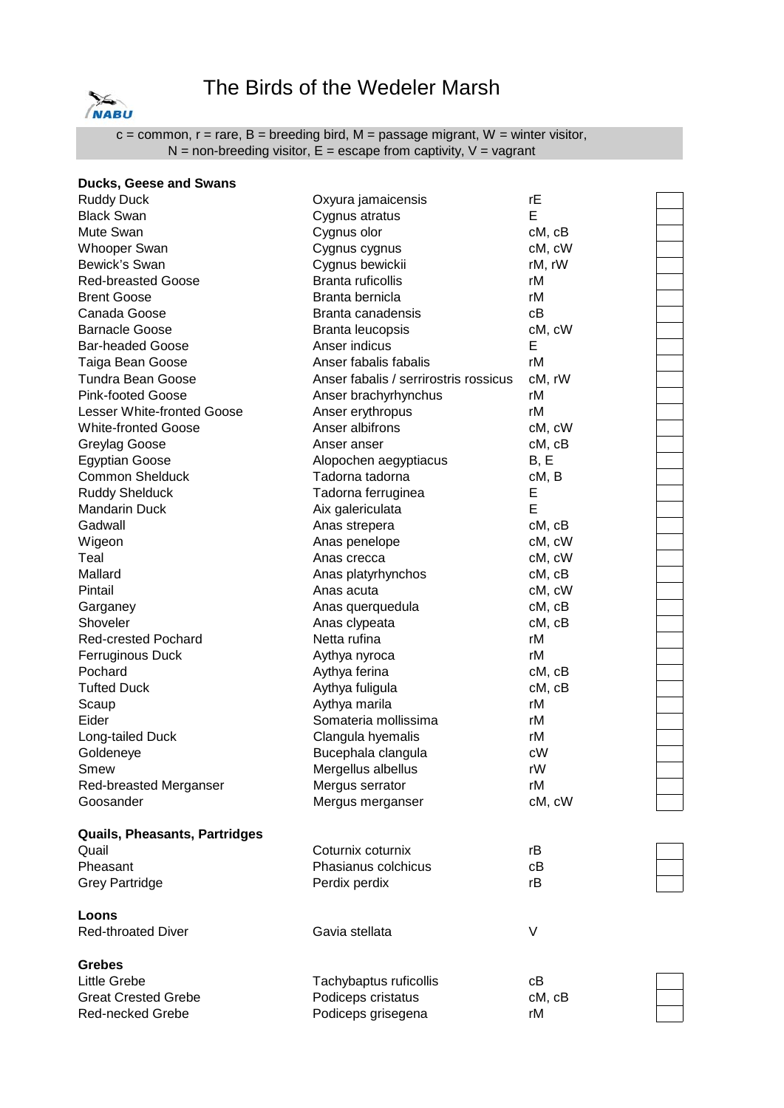

## The Birds of the Wedeler Marsh

 $c =$  common,  $r =$  rare,  $B =$  breeding bird,  $M =$  passage migrant,  $W =$  winter visitor,  $N =$  non-breeding visitor,  $E =$  escape from captivity,  $V =$  vagrant

| <b>Ducks, Geese and Swans</b>     |                                       |        |
|-----------------------------------|---------------------------------------|--------|
| <b>Ruddy Duck</b>                 | Oxyura jamaicensis                    | rE     |
| <b>Black Swan</b>                 | Cygnus atratus                        | E      |
| Mute Swan                         | Cygnus olor                           | cM, cB |
| <b>Whooper Swan</b>               | Cygnus cygnus                         | cM, cW |
| Bewick's Swan                     | Cygnus bewickii                       | rM, rW |
| <b>Red-breasted Goose</b>         | Branta ruficollis                     | rМ     |
| <b>Brent Goose</b>                | Branta bernicla                       | rM     |
| Canada Goose                      | Branta canadensis                     | сB     |
| <b>Barnacle Goose</b>             | Branta leucopsis                      | cM, cW |
| <b>Bar-headed Goose</b>           | Anser indicus                         | Е      |
| Taiga Bean Goose                  | Anser fabalis fabalis                 | rM     |
| <b>Tundra Bean Goose</b>          | Anser fabalis / serrirostris rossicus | cM, rW |
| <b>Pink-footed Goose</b>          | Anser brachyrhynchus                  | rM     |
| <b>Lesser White-fronted Goose</b> | Anser erythropus                      | rM     |
| <b>White-fronted Goose</b>        | Anser albifrons                       | cM, cW |
| Greylag Goose                     | Anser anser                           | cM, cB |
| <b>Egyptian Goose</b>             | Alopochen aegyptiacus                 | B, E   |
| <b>Common Shelduck</b>            | Tadorna tadorna                       | cM, B  |
| <b>Ruddy Shelduck</b>             | Tadorna ferruginea                    | Е      |
| <b>Mandarin Duck</b>              | Aix galericulata                      | E      |
| Gadwall                           | Anas strepera                         | cM, cB |
| Wigeon                            | Anas penelope                         | cM, cW |
| Teal                              | Anas crecca                           | cM, cW |
| Mallard                           | Anas platyrhynchos                    | cM, cB |
| Pintail                           | Anas acuta                            | cM, cW |
| Garganey                          | Anas querquedula                      | cM, cB |
| Shoveler                          | Anas clypeata                         | cM, cB |
| <b>Red-crested Pochard</b>        | Netta rufina                          | rM     |
| <b>Ferruginous Duck</b>           | Aythya nyroca                         | rM     |
| Pochard                           | Aythya ferina                         | cM, cB |
| <b>Tufted Duck</b>                | Aythya fuligula                       | cM, cB |
| Scaup                             | Aythya marila                         | rM     |
| Eider                             | Somateria mollissima                  | rM     |
| Long-tailed Duck                  | Clangula hyemalis                     | rM     |
| Goldeneye                         | Bucephala clangula                    | cW     |
| Smew                              | Mergellus albellus                    | rW     |
| Red-breasted Merganser            | Mergus serrator                       | rM     |
| Goosander                         | Mergus merganser                      | cM, cW |
| Quails, Pheasants, Partridges     |                                       |        |
| Quail                             | Coturnix coturnix                     | rB     |
| Pheasant                          | Phasianus colchicus                   | cВ     |
| <b>Grey Partridge</b>             | Perdix perdix                         | rB     |
| Loons                             |                                       |        |
| <b>Red-throated Diver</b>         | Gavia stellata                        | V      |
| <b>Grebes</b>                     |                                       |        |
| <b>Little Grebe</b>               | Tachybaptus ruficollis                | сB     |
| <b>Great Crested Grebe</b>        | Podiceps cristatus                    | cM, cB |

Red-necked Grebe **Podiceps** grisegena **rM** 

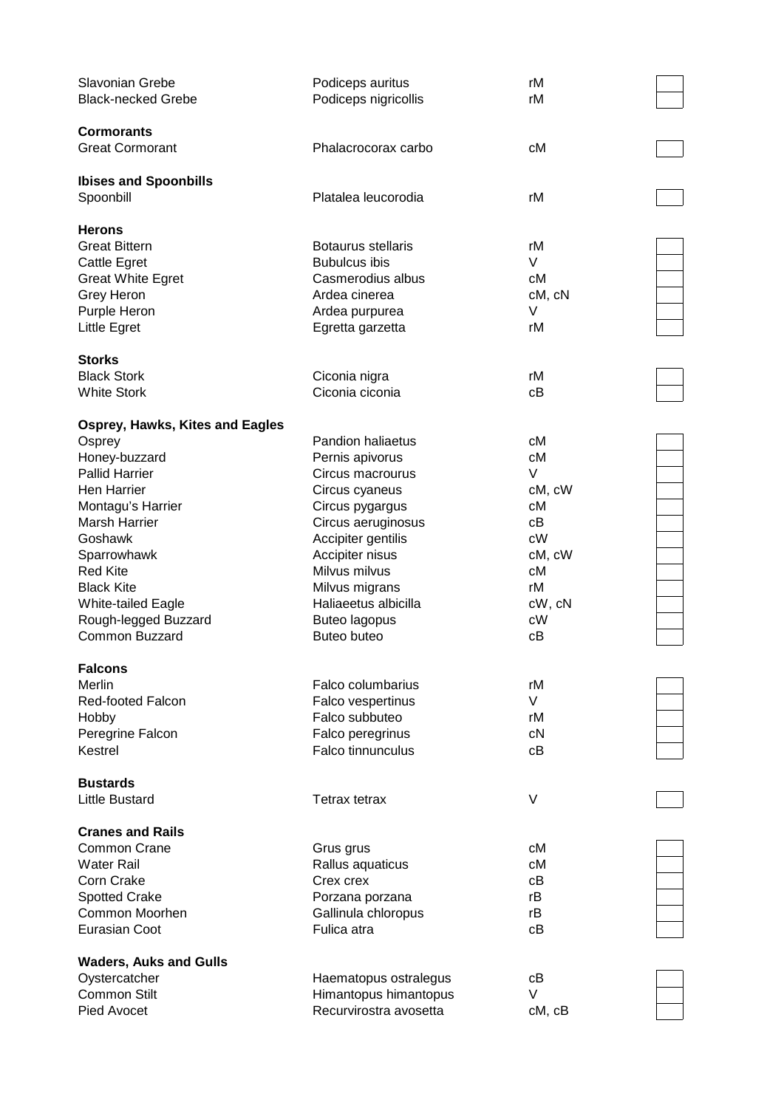| Slavonian Grebe                        | Podiceps auritus         | rM     |
|----------------------------------------|--------------------------|--------|
| <b>Black-necked Grebe</b>              | Podiceps nigricollis     | rM     |
|                                        |                          |        |
| <b>Cormorants</b>                      |                          |        |
| <b>Great Cormorant</b>                 | Phalacrocorax carbo      | сM     |
|                                        |                          |        |
| <b>Ibises and Spoonbills</b>           |                          |        |
| Spoonbill                              | Platalea leucorodia      | rM     |
|                                        |                          |        |
| <b>Herons</b>                          |                          |        |
| <b>Great Bittern</b>                   | Botaurus stellaris       | rM     |
| Cattle Egret                           | <b>Bubulcus ibis</b>     | V      |
|                                        | Casmerodius albus        | сM     |
| <b>Great White Egret</b>               |                          |        |
| Grey Heron                             | Ardea cinerea            | cM, cN |
| Purple Heron                           | Ardea purpurea           | V      |
| Little Egret                           | Egretta garzetta         | rM     |
|                                        |                          |        |
| <b>Storks</b>                          |                          |        |
| <b>Black Stork</b>                     | Ciconia nigra            | rM     |
| <b>White Stork</b>                     | Ciconia ciconia          | сB     |
|                                        |                          |        |
| <b>Osprey, Hawks, Kites and Eagles</b> |                          |        |
| Osprey                                 | <b>Pandion haliaetus</b> | сM     |
| Honey-buzzard                          | Pernis apivorus          | сM     |
| <b>Pallid Harrier</b>                  | Circus macrourus         | V      |
| Hen Harrier                            | Circus cyaneus           | cM, cW |
| Montagu's Harrier                      | Circus pygargus          | сM     |
| Marsh Harrier                          | Circus aeruginosus       | сB     |
| Goshawk                                | Accipiter gentilis       | cW     |
| Sparrowhawk                            | Accipiter nisus          | cM, cW |
| <b>Red Kite</b>                        | Milvus milvus            | сM     |
| <b>Black Kite</b>                      | Milvus migrans           | rM     |
| White-tailed Eagle                     | Haliaeetus albicilla     | cW, cN |
| Rough-legged Buzzard                   | <b>Buteo lagopus</b>     | cW     |
| <b>Common Buzzard</b>                  | Buteo buteo              | сB     |
|                                        |                          |        |
| <b>Falcons</b>                         |                          |        |
| Merlin                                 | Falco columbarius        | rM     |
| Red-footed Falcon                      | Falco vespertinus        | V      |
|                                        | Falco subbuteo           | rM     |
| Hobby                                  |                          |        |
| Peregrine Falcon                       | Falco peregrinus         | cN     |
| Kestrel                                | <b>Falco tinnunculus</b> | сB     |
|                                        |                          |        |
| <b>Bustards</b>                        |                          |        |
| <b>Little Bustard</b>                  | Tetrax tetrax            | V      |
| <b>Cranes and Rails</b>                |                          |        |
|                                        |                          |        |
| Common Crane                           | Grus grus                | сM     |
| Water Rail                             | Rallus aquaticus         | сM     |
| Corn Crake                             | Crex crex                | сB     |
| <b>Spotted Crake</b>                   | Porzana porzana          | rB     |
| Common Moorhen                         | Gallinula chloropus      | rB     |
| <b>Eurasian Coot</b>                   | Fulica atra              | сB     |
|                                        |                          |        |
| <b>Waders, Auks and Gulls</b>          |                          |        |
| Oystercatcher                          | Haematopus ostralegus    | cВ     |
| <b>Common Stilt</b>                    | Himantopus himantopus    | V      |
| Pied Avocet                            | Recurvirostra avosetta   | cM, cB |









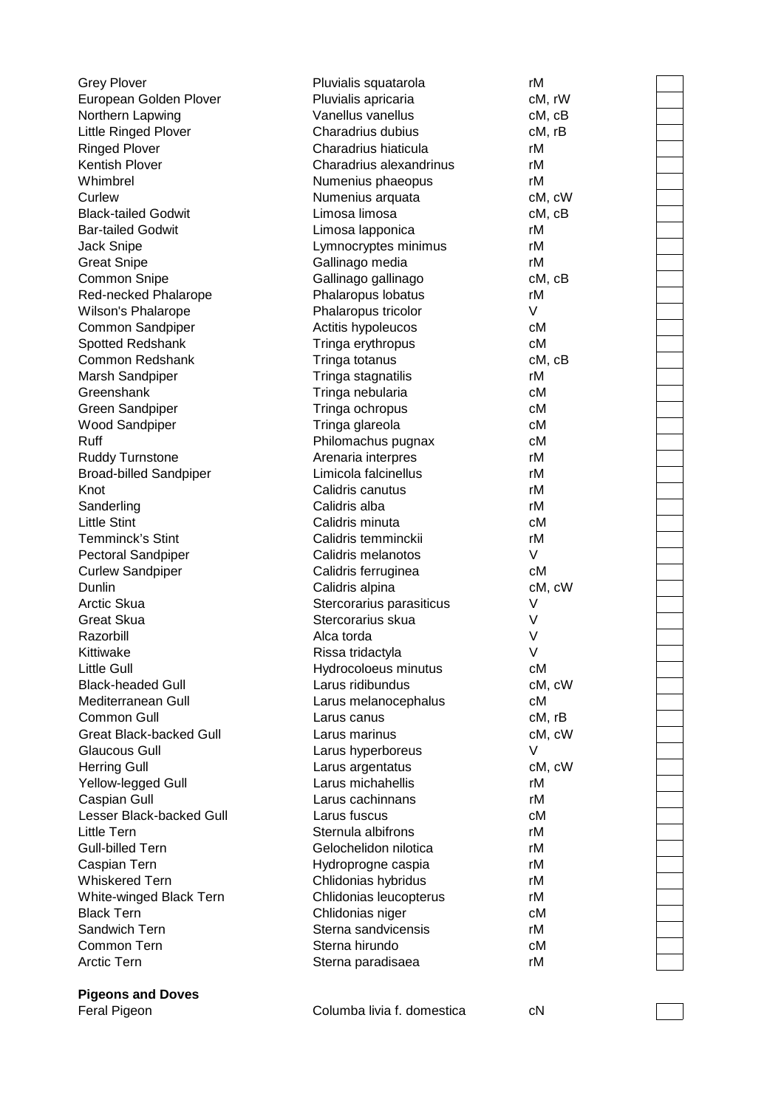| Feral Pigeon                           | Columba livia f. domestica                  | сN       |
|----------------------------------------|---------------------------------------------|----------|
| <b>Pigeons and Doves</b>               |                                             |          |
|                                        |                                             |          |
| Arctic Tern                            | Sterna paradisaea                           | rM       |
| Common Tern                            | Sterna hirundo                              | сM       |
| Sandwich Tern                          | Sterna sandvicensis                         | rM       |
| <b>Black Tern</b>                      | Chlidonias niger                            | сM       |
| White-winged Black Tern                | Chlidonias leucopterus                      | rM       |
| <b>Whiskered Tern</b>                  | Chlidonias hybridus                         | rM       |
| Caspian Tern                           | Hydroprogne caspia                          | rM       |
| Little Tern<br><b>Gull-billed Tern</b> | Sternula albifrons<br>Gelochelidon nilotica | rM<br>rM |
| Lesser Black-backed Gull               | Larus fuscus                                | сM       |
| Caspian Gull                           | Larus cachinnans                            | rM       |
| Yellow-legged Gull                     | Larus michahellis                           | rM       |
| <b>Herring Gull</b>                    | Larus argentatus                            | cM, cW   |
| Glaucous Gull                          | Larus hyperboreus                           | V        |
| <b>Great Black-backed Gull</b>         | Larus marinus                               | cM, cW   |
| Common Gull                            | Larus canus                                 | cM, rB   |
| Mediterranean Gull                     | Larus melanocephalus                        | сM       |
| <b>Black-headed Gull</b>               | Larus ridibundus                            | cM, cW   |
| <b>Little Gull</b>                     | Hydrocoloeus minutus                        | сM       |
| Kittiwake                              | Rissa tridactyla                            | V        |
| Razorbill                              | Alca torda                                  | V        |
| <b>Great Skua</b>                      | Stercorarius skua                           | V        |
| Arctic Skua                            | Stercorarius parasiticus                    | V        |
| Dunlin                                 | Calidris alpina                             | cM, cW   |
| <b>Curlew Sandpiper</b>                | Calidris ferruginea                         | сM       |
| Pectoral Sandpiper                     | Calidris melanotos                          | V        |
| <b>Temminck's Stint</b>                | Calidris temminckii                         | rM       |
| <b>Little Stint</b>                    | Calidris minuta                             | cM       |
| Sanderling                             | Calidris alba                               | rM       |
| Knot                                   | Calidris canutus                            | rM       |
| <b>Broad-billed Sandpiper</b>          | Limicola falcinellus                        | rM       |
| <b>Ruddy Turnstone</b>                 | Arenaria interpres                          | rM       |
| Ruff                                   | Philomachus pugnax                          | cM       |
| <b>Wood Sandpiper</b>                  | Tringa glareola                             | сM       |
| <b>Green Sandpiper</b>                 | Tringa ochropus                             | сM       |
| Greenshank                             | Tringa nebularia                            | сM       |
| Marsh Sandpiper                        | Tringa stagnatilis                          | rM       |
| Common Redshank                        | Tringa totanus                              | cM, cB   |
| Spotted Redshank                       | Tringa erythropus                           | сM       |
| Common Sandpiper                       | Actitis hypoleucos                          | сM       |
| Wilson's Phalarope                     | Phalaropus tricolor                         | V        |
| Red-necked Phalarope                   | Phalaropus lobatus                          | rM       |
| <b>Common Snipe</b>                    | Gallinago gallinago                         | cM, cB   |
| <b>Great Snipe</b>                     | Gallinago media                             | rM       |
| Jack Snipe                             | Lymnocryptes minimus                        | rM       |
| <b>Bar-tailed Godwit</b>               | Limosa lapponica                            | rM       |
| <b>Black-tailed Godwit</b>             | Limosa limosa                               | cM, cB   |
| Curlew                                 | Numenius arquata                            | cM, cW   |
| Whimbrel                               | Numenius phaeopus                           | rM       |
| <b>Kentish Plover</b>                  | Charadrius alexandrinus                     | rM       |
| <b>Ringed Plover</b>                   | Charadrius hiaticula                        | rM       |
| Little Ringed Plover                   | Charadrius dubius                           | cM, rB   |
| Northern Lapwing                       | Vanellus vanellus                           | cM, cB   |
| European Golden Plover                 | Pluvialis apricaria                         | cM, rW   |
| <b>Grey Plover</b>                     | Pluvialis squatarola                        | rM       |

 $\mathbb{R}^n$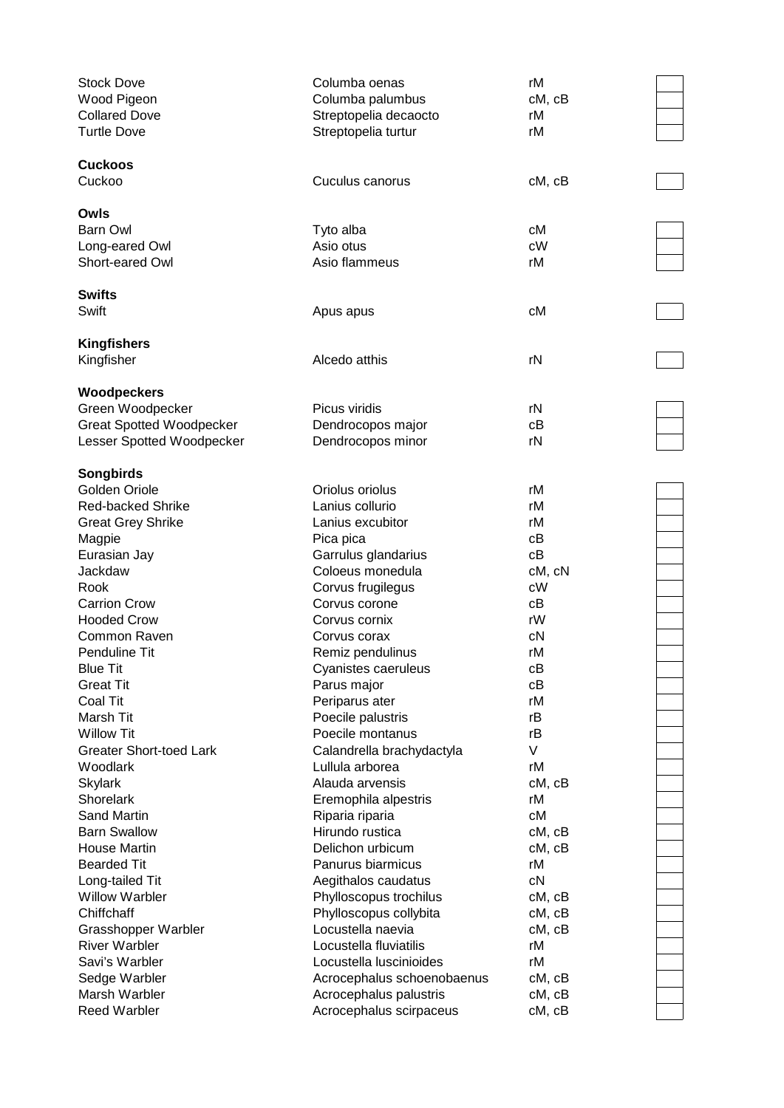| <b>Stock Dove</b><br>Wood Pigeon<br><b>Collared Dove</b><br><b>Turtle Dove</b> | Columba oenas<br>Columba palumbus<br>Streptopelia decaocto<br>Streptopelia turtur | rM<br>cM, cB<br>rM<br>rM |  |
|--------------------------------------------------------------------------------|-----------------------------------------------------------------------------------|--------------------------|--|
| <b>Cuckoos</b><br>Cuckoo                                                       | Cuculus canorus                                                                   | cM, cB                   |  |
| Owls                                                                           |                                                                                   |                          |  |
| <b>Barn Owl</b>                                                                | Tyto alba                                                                         | сM                       |  |
| Long-eared Owl                                                                 | Asio otus                                                                         | cW                       |  |
| Short-eared Owl                                                                | Asio flammeus                                                                     | rM                       |  |
| <b>Swifts</b>                                                                  |                                                                                   |                          |  |
| Swift                                                                          | Apus apus                                                                         | сM                       |  |
| <b>Kingfishers</b>                                                             |                                                                                   |                          |  |
| Kingfisher                                                                     | Alcedo atthis                                                                     | rN                       |  |
| <b>Woodpeckers</b>                                                             |                                                                                   |                          |  |
| Green Woodpecker                                                               | Picus viridis                                                                     | rN                       |  |
| <b>Great Spotted Woodpecker</b>                                                | Dendrocopos major                                                                 | cB                       |  |
| Lesser Spotted Woodpecker                                                      | Dendrocopos minor                                                                 | rN                       |  |
| <b>Songbirds</b>                                                               |                                                                                   |                          |  |
| Golden Oriole                                                                  | Oriolus oriolus                                                                   | rM                       |  |
| <b>Red-backed Shrike</b>                                                       | Lanius collurio                                                                   | rM                       |  |
| <b>Great Grey Shrike</b>                                                       | Lanius excubitor                                                                  | rM                       |  |
| Magpie                                                                         | Pica pica                                                                         | cB                       |  |
| Eurasian Jay                                                                   | Garrulus glandarius                                                               | cB                       |  |
| Jackdaw                                                                        | Coloeus monedula                                                                  | cM, cN                   |  |
| Rook                                                                           | Corvus frugilegus                                                                 | cW                       |  |
| <b>Carrion Crow</b><br><b>Hooded Crow</b>                                      | Corvus corone<br>Corvus cornix                                                    | cB<br>rW                 |  |
| Common Raven                                                                   | Corvus corax                                                                      | cN                       |  |
| <b>Penduline Tit</b>                                                           | Remiz pendulinus                                                                  | rM                       |  |
| <b>Blue Tit</b>                                                                | Cyanistes caeruleus                                                               | cB                       |  |
| <b>Great Tit</b>                                                               | Parus major                                                                       | cB                       |  |
| <b>Coal Tit</b>                                                                | Periparus ater                                                                    | rM                       |  |
| Marsh Tit                                                                      | Poecile palustris                                                                 | rB                       |  |
| <b>Willow Tit</b>                                                              | Poecile montanus                                                                  | rB                       |  |
| <b>Greater Short-toed Lark</b>                                                 | Calandrella brachydactyla                                                         | V                        |  |
| Woodlark                                                                       | Lullula arborea                                                                   | rM                       |  |
| <b>Skylark</b>                                                                 | Alauda arvensis                                                                   | cM, cB                   |  |
| Shorelark                                                                      | Eremophila alpestris                                                              | rM                       |  |
| <b>Sand Martin</b>                                                             | Riparia riparia                                                                   | cM                       |  |
| <b>Barn Swallow</b>                                                            | Hirundo rustica                                                                   | cM, cB                   |  |
| House Martin                                                                   | Delichon urbicum                                                                  | cM, cB                   |  |
| <b>Bearded Tit</b>                                                             | Panurus biarmicus                                                                 | rM                       |  |
| Long-tailed Tit                                                                | Aegithalos caudatus                                                               | cN                       |  |
| <b>Willow Warbler</b>                                                          | Phylloscopus trochilus                                                            | cM, cB                   |  |
| Chiffchaff                                                                     | Phylloscopus collybita                                                            | cM, cB                   |  |
| Grasshopper Warbler                                                            | Locustella naevia                                                                 | cM, cB                   |  |
| <b>River Warbler</b>                                                           | Locustella fluviatilis                                                            | rM                       |  |
| Savi's Warbler                                                                 | Locustella luscinioides                                                           | rM                       |  |
| Sedge Warbler                                                                  | Acrocephalus schoenobaenus                                                        | cM, cB                   |  |
| Marsh Warbler                                                                  | Acrocephalus palustris                                                            | cM, cB                   |  |
| <b>Reed Warbler</b>                                                            | Acrocephalus scirpaceus                                                           | cM, cB                   |  |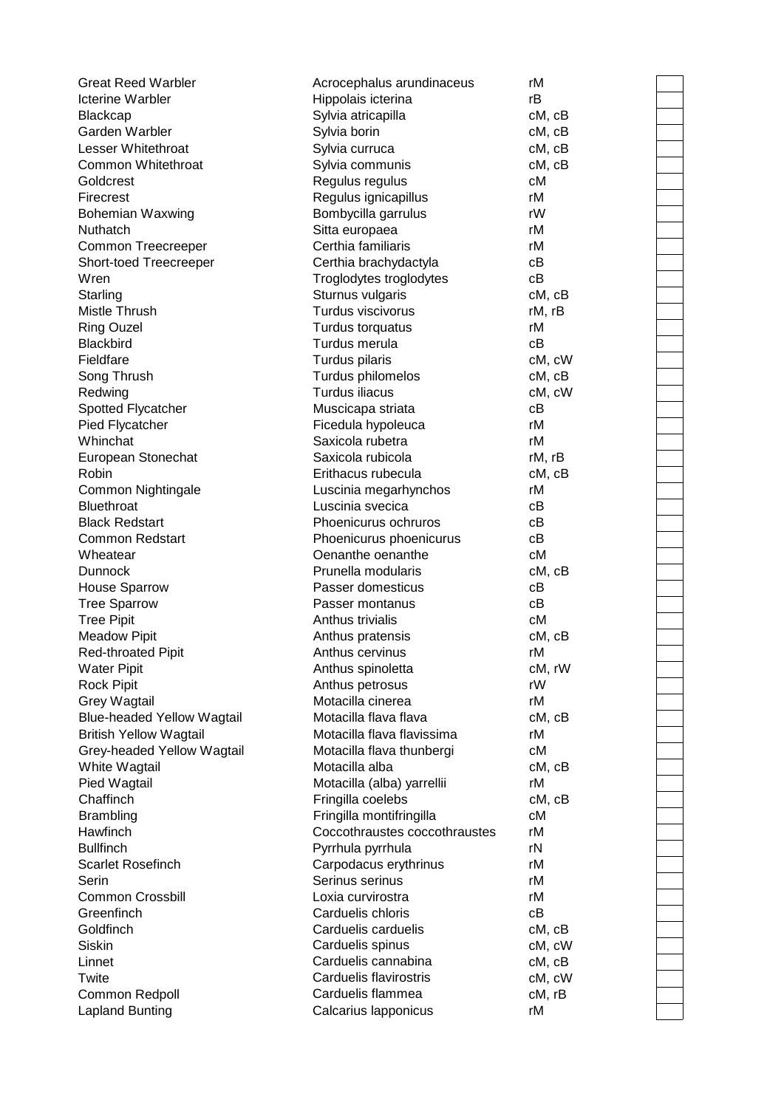| <b>Great Reed Warbler</b>                    | Acrocephalus arundinaceus                                 | rM           |
|----------------------------------------------|-----------------------------------------------------------|--------------|
| <b>Icterine Warbler</b>                      | Hippolais icterina                                        | rB           |
| <b>Blackcap</b>                              | Sylvia atricapilla                                        | cM, cB       |
| Garden Warbler                               | Sylvia borin                                              | cM, cB       |
| Lesser Whitethroat                           | Sylvia curruca                                            | cM, cB       |
| Common Whitethroat                           | Sylvia communis                                           | cM, cB       |
| Goldcrest                                    | Regulus regulus                                           | сM           |
| Firecrest                                    | Regulus ignicapillus                                      | rM           |
| <b>Bohemian Waxwing</b>                      | Bombycilla garrulus                                       | rW           |
| Nuthatch                                     | Sitta europaea                                            | rM           |
| Common Treecreeper                           | Certhia familiaris                                        | rM           |
| Short-toed Treecreeper                       | Certhia brachydactyla                                     | cВ           |
| Wren                                         | Troglodytes troglodytes                                   | cB           |
| Starling                                     | Sturnus vulgaris                                          | cM, cB       |
| Mistle Thrush                                | Turdus viscivorus                                         | rM, rB       |
| <b>Ring Ouzel</b>                            | Turdus torquatus                                          | rM           |
| <b>Blackbird</b>                             | Turdus merula                                             | cB           |
| Fieldfare                                    | Turdus pilaris                                            | cM, cW       |
| Song Thrush                                  | Turdus philomelos                                         | cM, cB       |
| Redwing                                      | Turdus iliacus                                            | cM, cW       |
| Spotted Flycatcher                           | Muscicapa striata                                         | cВ           |
| Pied Flycatcher                              | Ficedula hypoleuca                                        | rM           |
| Whinchat                                     | Saxicola rubetra                                          | rM           |
| European Stonechat                           | Saxicola rubicola                                         | rM, rB       |
| Robin                                        | Erithacus rubecula                                        | cM, cB       |
| Common Nightingale                           | Luscinia megarhynchos                                     | rM           |
| <b>Bluethroat</b>                            | Luscinia svecica                                          | cВ           |
| <b>Black Redstart</b>                        | Phoenicurus ochruros                                      | cВ           |
| <b>Common Redstart</b>                       | Phoenicurus phoenicurus                                   | cВ           |
| Wheatear                                     | Oenanthe oenanthe                                         | сM           |
| <b>Dunnock</b>                               | Prunella modularis                                        | cM, cB       |
| <b>House Sparrow</b>                         | Passer domesticus                                         | cВ           |
| <b>Tree Sparrow</b>                          | Passer montanus                                           | сB           |
| <b>Tree Pipit</b>                            | Anthus trivialis                                          | сM           |
| <b>Meadow Pipit</b>                          | Anthus pratensis                                          | cM, cB       |
| <b>Red-throated Pipit</b>                    | Anthus cervinus                                           | rM           |
| <b>Water Pipit</b>                           | Anthus spinoletta                                         | cM, rW       |
| <b>Rock Pipit</b>                            | Anthus petrosus                                           | rW           |
| <b>Grey Wagtail</b>                          | Motacilla cinerea                                         | rM           |
| <b>Blue-headed Yellow Wagtail</b>            | Motacilla flava flava                                     | cM, cB       |
| <b>British Yellow Wagtail</b>                | Motacilla flava flavissima                                | rM           |
| Grey-headed Yellow Wagtail                   | Motacilla flava thunbergi                                 | сM           |
| White Wagtail                                | Motacilla alba                                            | cM, cB       |
|                                              | Motacilla (alba) yarrellii                                | rM           |
| Pied Wagtail<br>Chaffinch                    | Fringilla coelebs                                         |              |
|                                              |                                                           | cM, cB<br>сM |
| <b>Brambling</b><br>Hawfinch                 | Fringilla montifringilla<br>Coccothraustes coccothraustes | rМ           |
|                                              |                                                           |              |
| <b>Bullfinch</b><br><b>Scarlet Rosefinch</b> | Pyrrhula pyrrhula                                         | rN<br>rM     |
|                                              | Carpodacus erythrinus                                     |              |
| Serin                                        | Serinus serinus                                           | rM           |
| <b>Common Crossbill</b>                      | Loxia curvirostra                                         | rM           |
| Greenfinch                                   | Carduelis chloris                                         | cB           |
| Goldfinch                                    | Carduelis carduelis                                       | cM, cB       |
| Siskin                                       | Carduelis spinus                                          | cM, cW       |
| Linnet                                       | Carduelis cannabina                                       | cM, cB       |
| Twite                                        | Carduelis flavirostris                                    | cM, cW       |
| Common Redpoll                               | Carduelis flammea                                         | cM, rB       |
| <b>Lapland Bunting</b>                       | Calcarius Iapponicus                                      | rM           |